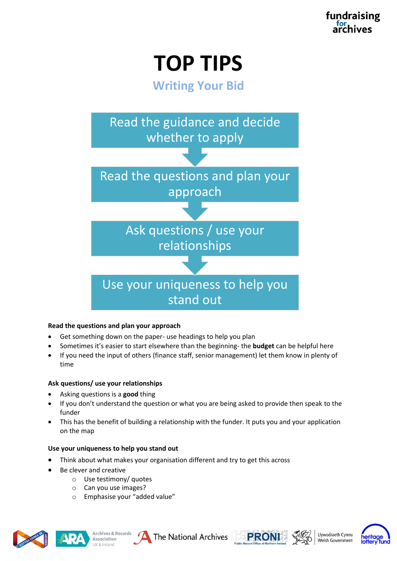**TOP TIPS**

**Writing Your Bid**



## **Read the questions and plan your approach**

- Get something down on the paper- use headings to help you plan
- Sometimes it's easier to start elsewhere than the beginning- the **budget** can be helpful here
- If you need the input of others (finance staff, senior management) let them know in plenty of time

#### **Ask questions/ use your relationships**

- Asking questions is a **good** thing
- If you don't understand the question or what you are being asked to provide then speak to the funder
- This has the benefit of building a relationship with the funder. It puts you and your application on the map

#### **Use your uniqueness to help you stand out**

- Think about what makes your organisation different and try to get this across
- Be clever and creative
	- o Use testimony/ quotes
	- o Can you use images?
	- o Emphasise your "added value"











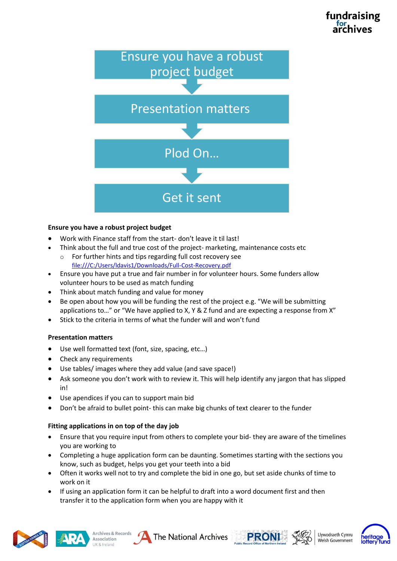# fundraising



## **Ensure you have a robust project budget**

- Work with Finance staff from the start- don't leave it til last!
- Think about the full and true cost of the project- marketing, maintenance costs etc
	- o For further hints and tips regarding full cost recovery see <file:///C:/Users/ldavis1/Downloads/Full-Cost-Recovery.pdf>
- Ensure you have put a true and fair number in for volunteer hours. Some funders allow volunteer hours to be used as match funding
- Think about match funding and value for money
- Be open about how you will be funding the rest of the project e.g. "We will be submitting applications to…" or "We have applied to X, Y & Z fund and are expecting a response from X"
- Stick to the criteria in terms of what the funder will and won't fund

# **Presentation matters**

- Use well formatted text (font, size, spacing, etc…)
- Check any requirements
- Use tables/ images where they add value (and save space!)
- Ask someone you don't work with to review it. This will help identify any jargon that has slipped in!
- Use apendices if you can to support main bid
- Don't be afraid to bullet point- this can make big chunks of text clearer to the funder

# **Fitting applications in on top of the day job**

- Ensure that you require input from others to complete your bid- they are aware of the timelines you are working to
- Completing a huge application form can be daunting. Sometimes starting with the sections you know, such as budget, helps you get your teeth into a bid
- Often it works well not to try and complete the bid in one go, but set aside chunks of time to work on it
- If using an application form it can be helpful to draft into a word document first and then transfer it to the application form when you are happy with it